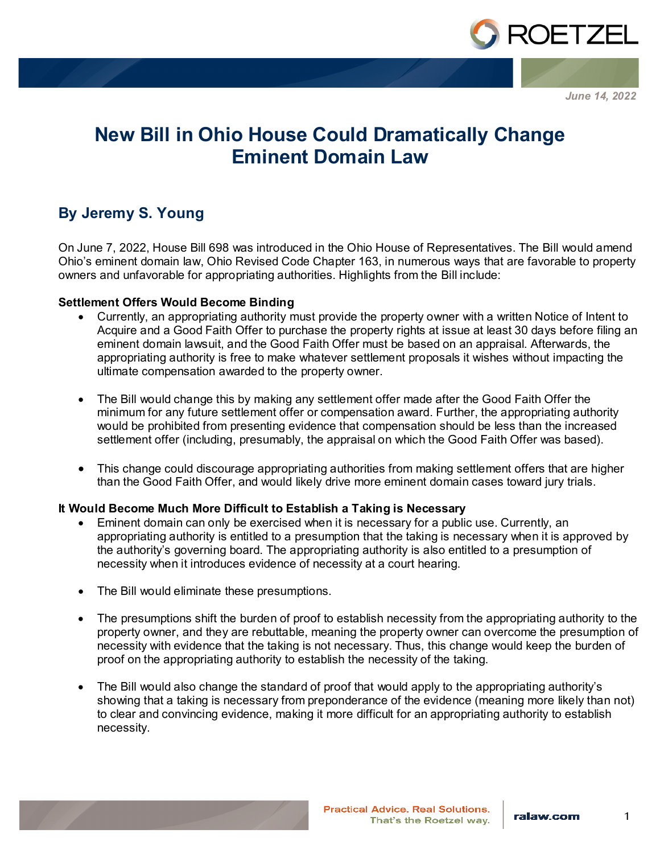

*June 14, 2022*

# **New Bill in Ohio House Could Dramatically Change Eminent Domain Law**

# **By Jeremy S. Young**

On June 7, 2022, House Bill 698 was introduced in the Ohio House of Representatives. The Bill would amend Ohio's eminent domain law, Ohio Revised Code Chapter 163, in numerous ways that are favorable to property owners and unfavorable for appropriating authorities. Highlights from the Bill include:

## **Settlement Offers Would Become Binding**

- Currently, an appropriating authority must provide the property owner with a written Notice of Intent to Acquire and a Good Faith Offer to purchase the property rights at issue at least 30 days before filing an eminent domain lawsuit, and the Good Faith Offer must be based on an appraisal. Afterwards, the appropriating authority is free to make whatever settlement proposals it wishes without impacting the ultimate compensation awarded to the property owner.
- The Bill would change this by making any settlement offer made after the Good Faith Offer the minimum for any future settlement offer or compensation award. Further, the appropriating authority would be prohibited from presenting evidence that compensation should be less than the increased settlement offer (including, presumably, the appraisal on which the Good Faith Offer was based).
- This change could discourage appropriating authorities from making settlement offers that are higher than the Good Faith Offer, and would likely drive more eminent domain cases toward jury trials.

# **It Would Become Much More Difficult to Establish a Taking is Necessary**

- Eminent domain can only be exercised when it is necessary for a public use. Currently, an appropriating authority is entitled to a presumption that the taking is necessary when it is approved by the authority's governing board. The appropriating authority is also entitled to a presumption of necessity when it introduces evidence of necessity at a court hearing.
- The Bill would eliminate these presumptions.
- The presumptions shift the burden of proof to establish necessity from the appropriating authority to the property owner, and they are rebuttable, meaning the property owner can overcome the presumption of necessity with evidence that the taking is not necessary. Thus, this change would keep the burden of proof on the appropriating authority to establish the necessity of the taking.
- The Bill would also change the standard of proof that would apply to the appropriating authority's showing that a taking is necessary from preponderance of the evidence (meaning more likely than not) to clear and convincing evidence, making it more difficult for an appropriating authority to establish necessity.

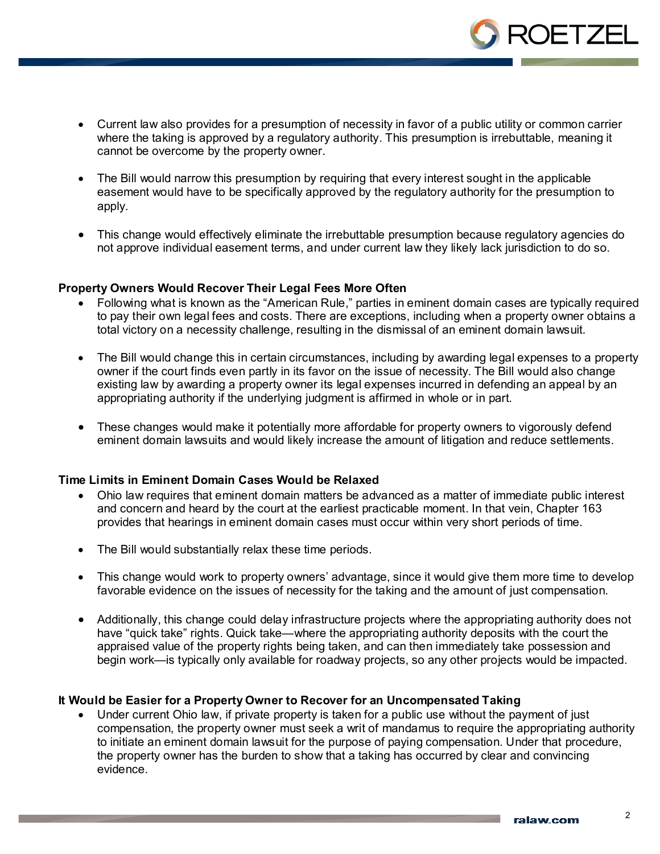

- Current law also provides for a presumption of necessity in favor of a public utility or common carrier where the taking is approved by a regulatory authority. This presumption is irrebuttable, meaning it cannot be overcome by the property owner.
- The Bill would narrow this presumption by requiring that every interest sought in the applicable easement would have to be specifically approved by the regulatory authority for the presumption to apply.
- This change would effectively eliminate the irrebuttable presumption because regulatory agencies do not approve individual easement terms, and under current law they likely lack jurisdiction to do so.

### **Property Owners Would Recover Their Legal Fees More Often**

- Following what is known as the "American Rule," parties in eminent domain cases are typically required to pay their own legal fees and costs. There are exceptions, including when a property owner obtains a total victory on a necessity challenge, resulting in the dismissal of an eminent domain lawsuit.
- The Bill would change this in certain circumstances, including by awarding legal expenses to a property owner if the court finds even partly in its favor on the issue of necessity. The Bill would also change existing law by awarding a property owner its legal expenses incurred in defending an appeal by an appropriating authority if the underlying judgment is affirmed in whole or in part.
- These changes would make it potentially more affordable for property owners to vigorously defend eminent domain lawsuits and would likely increase the amount of litigation and reduce settlements.

#### **Time Limits in Eminent Domain Cases Would be Relaxed**

- Ohio law requires that eminent domain matters be advanced as a matter of immediate public interest and concern and heard by the court at the earliest practicable moment. In that vein, Chapter 163 provides that hearings in eminent domain cases must occur within very short periods of time.
- The Bill would substantially relax these time periods.
- This change would work to property owners' advantage, since it would give them more time to develop favorable evidence on the issues of necessity for the taking and the amount of just compensation.
- Additionally, this change could delay infrastructure projects where the appropriating authority does not have "quick take" rights. Quick take—where the appropriating authority deposits with the court the appraised value of the property rights being taken, and can then immediately take possession and begin work—is typically only available for roadway projects, so any other projects would be impacted.

### **It Would be Easier for a Property Owner to Recover for an Uncompensated Taking**

• Under current Ohio law, if private property is taken for a public use without the payment of just compensation, the property owner must seek a writ of mandamus to require the appropriating authority to initiate an eminent domain lawsuit for the purpose of paying compensation. Under that procedure, the property owner has the burden to show that a taking has occurred by clear and convincing evidence.